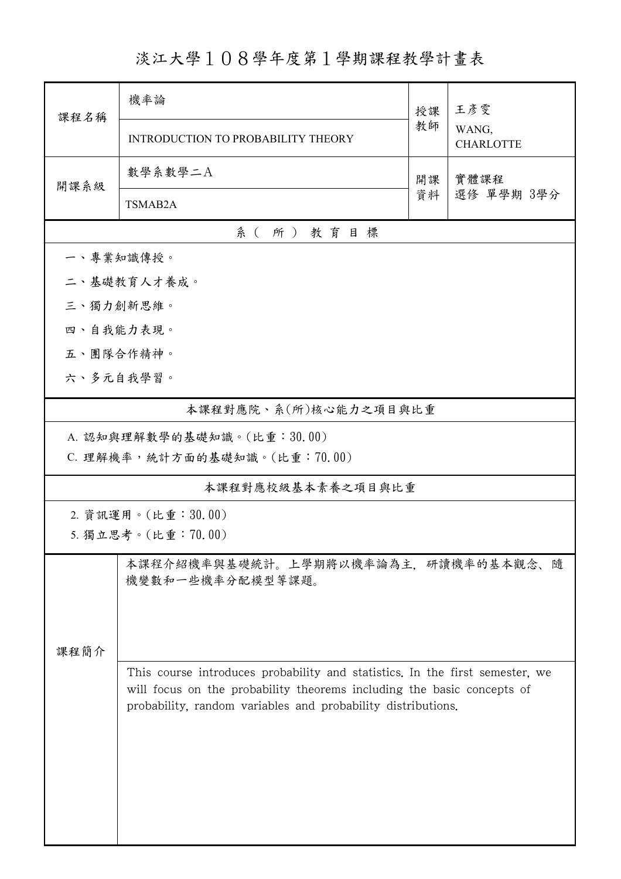## 淡江大學108學年度第1學期課程教學計畫表

| 課程名稱               | 機率論                                                          |                                                                                                                                                        | 王彥雯                       |  |  |  |  |
|--------------------|--------------------------------------------------------------|--------------------------------------------------------------------------------------------------------------------------------------------------------|---------------------------|--|--|--|--|
|                    | INTRODUCTION TO PROBABILITY THEORY                           | 教師                                                                                                                                                     | WANG,<br><b>CHARLOTTE</b> |  |  |  |  |
| 開課系級               | 數學系數學二A                                                      | 實體課程<br>開課                                                                                                                                             |                           |  |  |  |  |
|                    | TSMAB2A                                                      | 資料                                                                                                                                                     | 選修 單學期 3學分                |  |  |  |  |
| 系(所)教育目標           |                                                              |                                                                                                                                                        |                           |  |  |  |  |
|                    | 一、專業知識傳授。                                                    |                                                                                                                                                        |                           |  |  |  |  |
|                    | 二、基礎教育人才養成。                                                  |                                                                                                                                                        |                           |  |  |  |  |
| 三、獨力創新思維。          |                                                              |                                                                                                                                                        |                           |  |  |  |  |
|                    | 四、自我能力表現。                                                    |                                                                                                                                                        |                           |  |  |  |  |
|                    | 五、團隊合作精神。                                                    |                                                                                                                                                        |                           |  |  |  |  |
|                    | 六、多元自我學習。                                                    |                                                                                                                                                        |                           |  |  |  |  |
|                    | 本課程對應院、系(所)核心能力之項目與比重                                        |                                                                                                                                                        |                           |  |  |  |  |
|                    | A. 認知與理解數學的基礎知識。(比重:30.00)                                   |                                                                                                                                                        |                           |  |  |  |  |
|                    | C. 理解機率,統計方面的基礎知識。(比重:70.00)                                 |                                                                                                                                                        |                           |  |  |  |  |
|                    | 本課程對應校級基本素養之項目與比重                                            |                                                                                                                                                        |                           |  |  |  |  |
| 2. 資訊運用。(比重:30.00) |                                                              |                                                                                                                                                        |                           |  |  |  |  |
|                    | 5. 獨立思考。(比重:70.00)                                           |                                                                                                                                                        |                           |  |  |  |  |
| 課程簡介               | 本課程介紹機率與基礎統計。上學期將以機率論為主,研讀機率的基本觀念、隨<br>機變數和一些機率分配模型等課題。      |                                                                                                                                                        |                           |  |  |  |  |
|                    | probability, random variables and probability distributions. | This course introduces probability and statistics. In the first semester, we<br>will focus on the probability theorems including the basic concepts of |                           |  |  |  |  |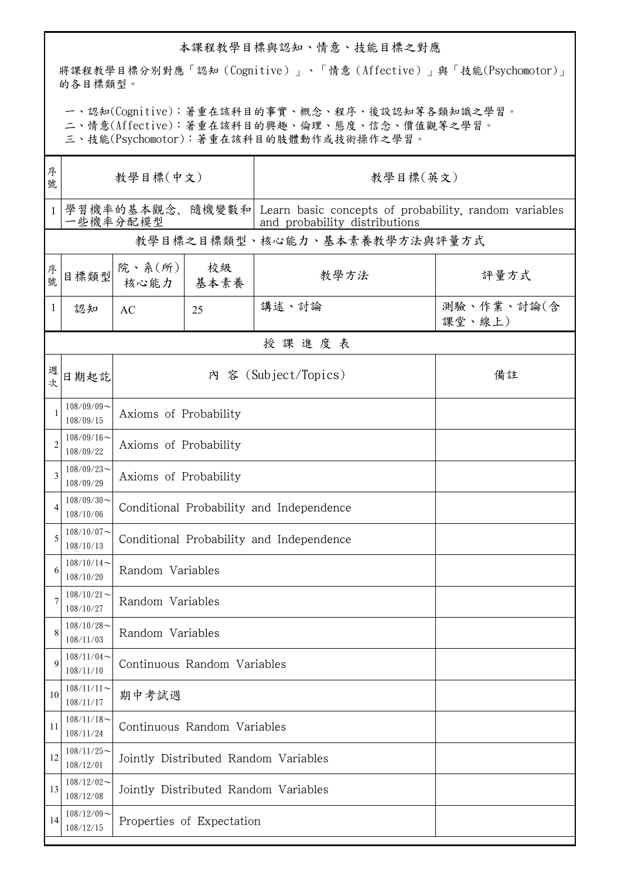## 本課程教學目標與認知、情意、技能目標之對應

將課程教學目標分別對應「認知(Cognitive)」、「情意(Affective)」與「技能(Psychomotor)」 的各目標類型。

一、認知(Cognitive):著重在該科目的事實、概念、程序、後設認知等各類知識之學習。

二、情意(Affective):著重在該科目的興趣、倫理、態度、信念、價值觀等之學習。

三、技能(Psychomotor):著重在該科目的肢體動作或技術操作之學習。

| 序<br>號       | 教學目標(中文)                     |                                          |                                      | 教學目標(英文)                                                                                               |                      |  |  |  |  |
|--------------|------------------------------|------------------------------------------|--------------------------------------|--------------------------------------------------------------------------------------------------------|----------------------|--|--|--|--|
| $\mathbf{1}$ | 一些機率分配模型                     |                                          |                                      | 學習機率的基本觀念、隨機變數和 Learn basic concepts of probability, random variables<br>and probability distributions |                      |  |  |  |  |
|              | 教學目標之目標類型、核心能力、基本素養教學方法與評量方式 |                                          |                                      |                                                                                                        |                      |  |  |  |  |
| 序號           | 目標類型                         | 院、系 $(\text{m})$<br>核心能力   基本素養          | 校級                                   | 教學方法                                                                                                   | 評量方式                 |  |  |  |  |
| $\mathbf{1}$ | 認知                           | AC                                       | 25                                   | 講述、討論                                                                                                  | 測驗、作業、討論(含<br>課堂、線上) |  |  |  |  |
|              | 授課進度表                        |                                          |                                      |                                                                                                        |                      |  |  |  |  |
| 週<br>坎       | 日期起訖                         |                                          |                                      | 內 容 (Subject/Topics)                                                                                   | 備註                   |  |  |  |  |
| 1            | $108/09/09$ ~<br>108/09/15   | Axioms of Probability                    |                                      |                                                                                                        |                      |  |  |  |  |
| 2            | $108/09/16$ ~<br>108/09/22   | Axioms of Probability                    |                                      |                                                                                                        |                      |  |  |  |  |
| 3            | $108/09/23$ ~<br>108/09/29   | Axioms of Probability                    |                                      |                                                                                                        |                      |  |  |  |  |
| 4            | $108/09/30$ ~<br>108/10/06   | Conditional Probability and Independence |                                      |                                                                                                        |                      |  |  |  |  |
| 5            | $108/10/07$ ~<br>108/10/13   | Conditional Probability and Independence |                                      |                                                                                                        |                      |  |  |  |  |
| 6            | $108/10/14$ ~<br>108/10/20   | Random Variables                         |                                      |                                                                                                        |                      |  |  |  |  |
|              | $108/10/21$ ~<br>108/10/27   | Random Variables                         |                                      |                                                                                                        |                      |  |  |  |  |
| 8            | $108/10/28$ ~<br>108/11/03   | Random Variables                         |                                      |                                                                                                        |                      |  |  |  |  |
| 9            | $108/11/04$ ~<br>108/11/10   | Continuous Random Variables              |                                      |                                                                                                        |                      |  |  |  |  |
| 10           | $108/11/11$ ~<br>108/11/17   | 期中考試週                                    |                                      |                                                                                                        |                      |  |  |  |  |
| 11           | $108/11/18$ ~<br>108/11/24   |                                          | Continuous Random Variables          |                                                                                                        |                      |  |  |  |  |
| 12           | $108/11/25$ ~<br>108/12/01   |                                          | Jointly Distributed Random Variables |                                                                                                        |                      |  |  |  |  |
| 13           | $108/12/02$ ~<br>108/12/08   | Jointly Distributed Random Variables     |                                      |                                                                                                        |                      |  |  |  |  |
| 14           | $108/12/09$ ~<br>108/12/15   | Properties of Expectation                |                                      |                                                                                                        |                      |  |  |  |  |